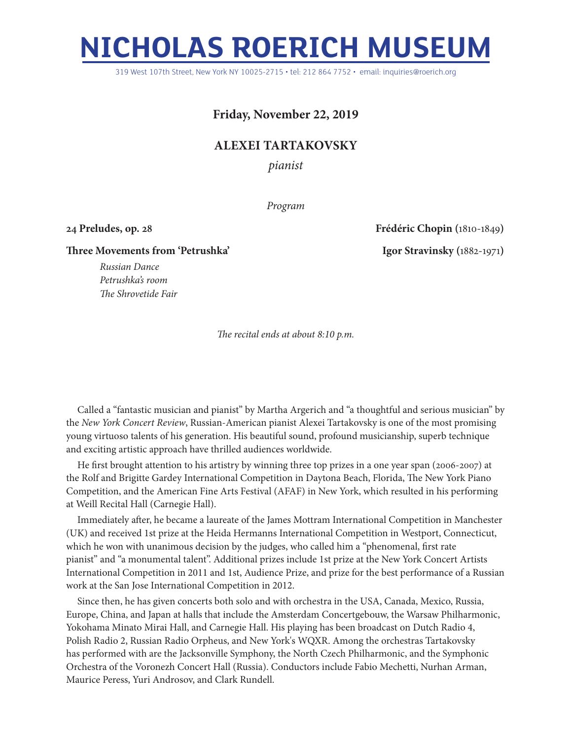## **NICHOLAS ROERICH MUSEUM**

319 West 107th Street, New York NY 10025-2715 • tel: 212 864 7752 • email: inquiries@roerich.org

## **Friday, November 22, 2019**

## **ALEXEI TARTAKOVSKY**

*pianist*

*Program*

**24 Preludes, op. 28 Frédéric Chopin (**1810-1849**)**

**Three Movements from 'Petrushka' Igor Stravinsky (**1882-1971**)**

*Russian Dance Petrushka's room The Shrovetide Fair* 

*The recital ends at about 8:10 p.m.*

Called a "fantastic musician and pianist" by Martha Argerich and "a thoughtful and serious musician" by the *New York Concert Review*, Russian-American pianist Alexei Tartakovsky is one of the most promising young virtuoso talents of his generation. His beautiful sound, profound musicianship, superb technique and exciting artistic approach have thrilled audiences worldwide.

He first brought attention to his artistry by winning three top prizes in a one year span (2006-2007) at the Rolf and Brigitte Gardey International Competition in Daytona Beach, Florida, The New York Piano Competition, and the American Fine Arts Festival (AFAF) in New York, which resulted in his performing at Weill Recital Hall (Carnegie Hall).

Immediately after, he became a laureate of the James Mottram International Competition in Manchester (UK) and received 1st prize at the Heida Hermanns International Competition in Westport, Connecticut, which he won with unanimous decision by the judges, who called him a "phenomenal, first rate pianist" and "a monumental talent". Additional prizes include 1st prize at the New York Concert Artists International Competition in 2011 and 1st, Audience Prize, and prize for the best performance of a Russian work at the San Jose International Competition in 2012.

Since then, he has given concerts both solo and with orchestra in the USA, Canada, Mexico, Russia, Europe, China, and Japan at halls that include the Amsterdam Concertgebouw, the Warsaw Philharmonic, Yokohama Minato Mirai Hall, and Carnegie Hall. His playing has been broadcast on Dutch Radio 4, Polish Radio 2, Russian Radio Orpheus, and New York's WQXR. Among the orchestras Tartakovsky has performed with are the Jacksonville Symphony, the North Czech Philharmonic, and the Symphonic Orchestra of the Voronezh Concert Hall (Russia). Conductors include Fabio Mechetti, Nurhan Arman, Maurice Peress, Yuri Androsov, and Clark Rundell.